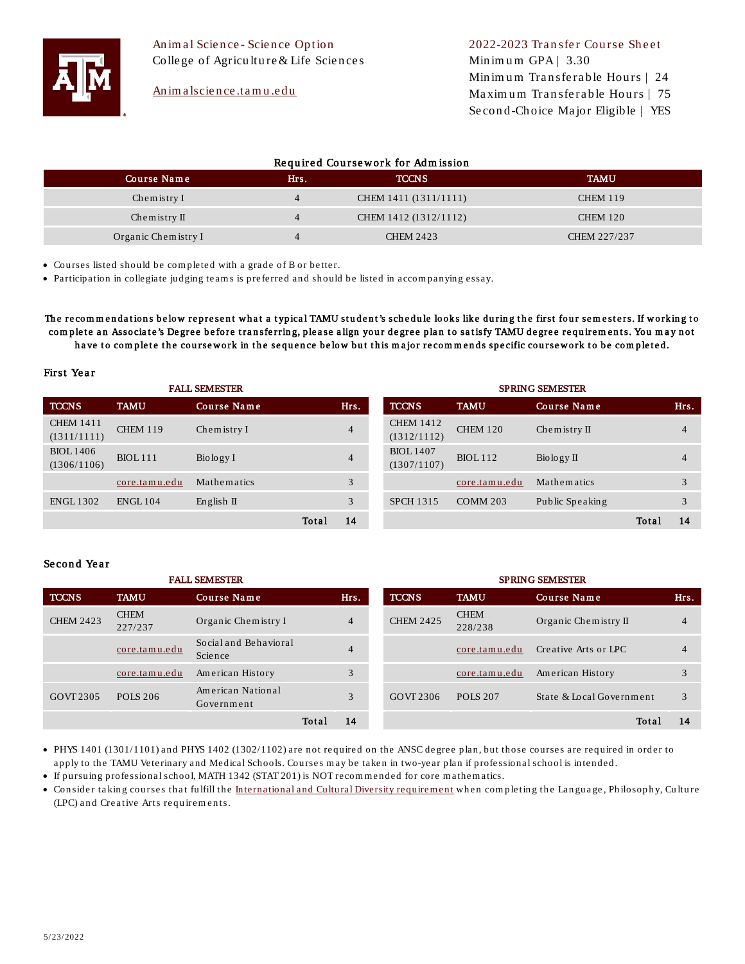

An im a lscience .tamu.edu

# Required Coursework for Admission

| Course Name            | Hrs.           | <b>TCCNS</b>          | <b>TAMU</b>     |
|------------------------|----------------|-----------------------|-----------------|
| Chemistry I            | $\overline{4}$ | CHEM 1411 (1311/1111) | <b>CHEM 119</b> |
| Chemistry $\mathbb{I}$ | $\overline{4}$ | CHEM 1412 (1312/1112) | <b>CHEM 120</b> |
| Organic Chemistry I    | $\overline{4}$ | <b>CHEM 2423</b>      | CHEM 227/237    |

• Courses listed should be com pleted with a grade of B or better.

• Participation in collegiate judging team s is preferred and should be listed in accom panying essay.

The recommendations below represent what a typical TAMU student's schedule looks like during the first four semesters. If working to complete an Associate's Degree before transferring, please align your degree plan to satisfy TAMU degree requirements. You may not have to complete the coursework in the sequence below but this major recommends specific coursework to be completed.

### First Year

| <b>FALL SEMESTER</b>            |                 |                     | <b>SPRING SEMESTER</b> |                |                                 |                 |                                 |       |                |
|---------------------------------|-----------------|---------------------|------------------------|----------------|---------------------------------|-----------------|---------------------------------|-------|----------------|
| <b>TCCNS</b>                    | <b>TAMU</b>     | Course Name         |                        | Hrs.           | <b>TCCNS</b>                    | <b>TAMU</b>     | Course Name                     |       | Hrs.           |
| <b>CHEM 1411</b><br>(1311/1111) | <b>CHEM 119</b> | Chemistry I         |                        | $\overline{4}$ | <b>CHEM 1412</b><br>(1312/1112) | <b>CHEM 120</b> | Chemistry $II$                  |       | $\overline{4}$ |
| <b>BIOL</b> 1406<br>(1306/1106) | <b>BIOL</b> 111 | Biology I           |                        | $\overline{4}$ | <b>BIOL</b> 1407<br>(1307/1107) | <b>BIOL</b> 112 | $\operatorname{Bio} \log y \Pi$ |       | $\overline{4}$ |
|                                 | core.tamu.edu   | Mathematics         |                        | 3              |                                 | core.tamu.edu   | Mathematics                     |       | 3              |
| <b>ENGL1302</b>                 | <b>ENGL104</b>  | English $\mathbb I$ |                        | 3              | <b>SPCH 1315</b>                | <b>COMM 203</b> | Public Speaking                 |       | 3              |
|                                 |                 |                     | Total                  | 14             |                                 |                 |                                 | Total | 14             |

## Se con d Ye a r

| <b>FALL SEMESTER</b> |                        |                                  | <b>SPRING SEMESTER</b> |                |                  |                        |                          |                         |
|----------------------|------------------------|----------------------------------|------------------------|----------------|------------------|------------------------|--------------------------|-------------------------|
| <b>TCCNS</b>         | <b>TAMU</b>            | Course Name                      |                        | Hrs.           | <b>TCCNS</b>     | <b>TAMU</b>            | Course Name              | Hrs.                    |
| <b>CHEM 2423</b>     | <b>CHEM</b><br>227/237 | Organic Chemistry I              |                        | $\overline{4}$ | <b>CHEM 2425</b> | <b>CHEM</b><br>228/238 | Organic Chemistry II     | $\overline{4}$          |
|                      | core.tamu.edu          | Social and Behavioral<br>Science |                        | 4              |                  | core.tamu.edu          | Creative Arts or IPC     |                         |
|                      | core.tamu.edu          | American History                 |                        | 3              |                  | core.tamu.edu          | American History         | $\mathbf{\overline{3}}$ |
| GOVT 2305            | <b>POLS 206</b>        | American National<br>Government  |                        | 3              | GOVT 2306        | <b>POLS 207</b>        | State & Local Government | 3                       |
|                      |                        |                                  | Total                  | 14             |                  |                        | Total                    | 14                      |

• PHYS 1401 (1301/1101) and PHYS 1402 (1302/1102) are not required on the ANSC degree plan, but those courses are required in order to apply to the TAMU Veterinary and Medical Schools. Courses m ay be taken in two-year plan if professional school is intended.

• If pursuing professional school, MATH 1342 (STAT 201) is NOT recommended for core mathematics.

• Consider taking courses that fulfill the International and Cultural Diversity requirement when completing the Language, Philosophy, Culture (LPC) and Creative Arts requirements.